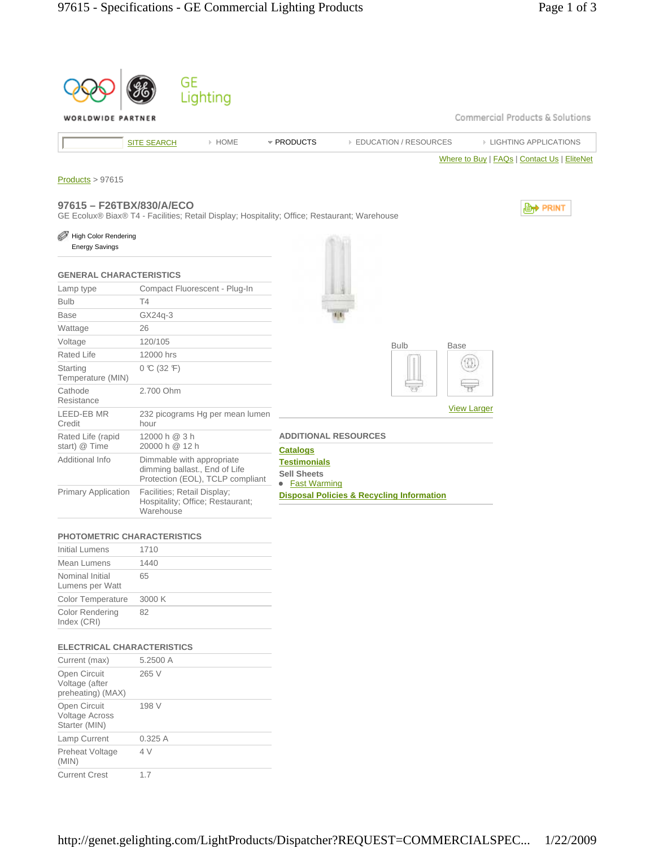

#### **PHOTOMETRIC CHARACTERISTICS**

| Initial Lumens                        | 1710   |
|---------------------------------------|--------|
| Mean Lumens                           | 1440   |
| Nominal Initial<br>Lumens per Watt    | 65     |
| <b>Color Temperature</b>              | 3000 K |
| <b>Color Rendering</b><br>Index (CRI) | 82     |

## **ELECTRICAL CHARACTERISTICS**

| Current (max)                                          | 5.2500 A |
|--------------------------------------------------------|----------|
| Open Circuit<br>Voltage (after<br>preheating) (MAX)    | 265 V    |
| Open Circuit<br><b>Voltage Across</b><br>Starter (MIN) | 198 V    |
| Lamp Current                                           | 0.325A   |
| Preheat Voltage<br>(MIN)                               | 4V       |
| <b>Current Crest</b>                                   | 17       |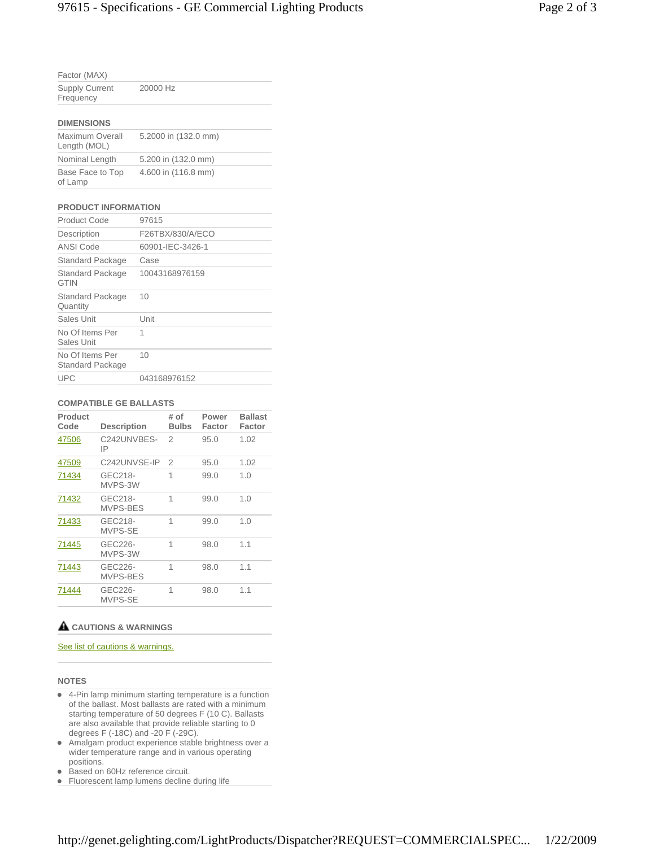| Factor (MAX)                       |          |  |
|------------------------------------|----------|--|
| <b>Supply Current</b><br>Frequency | 20000 Hz |  |
| <b>DIMENSIONS</b>                  |          |  |

| Maximum Overall<br>Length (MOL) | 5.2000 in (132.0 mm) |
|---------------------------------|----------------------|
| Nominal Length                  | 5.200 in (132.0 mm)  |
| Base Face to Top<br>of Lamp     | 4.600 in (116.8 mm)  |

## **PRODUCT INFORMATION**

| <b>Product Code</b>                 | 97615            |
|-------------------------------------|------------------|
| Description                         | F26TBX/830/A/ECO |
| <b>ANSI Code</b>                    | 60901-IEC-3426-1 |
| Standard Package                    | Case             |
| Standard Package<br><b>GTIN</b>     | 10043168976159   |
| Standard Package<br>Quantity        | 10               |
| Sales Unit                          | Unit             |
| No Of Items Per<br>Sales Unit       | 1                |
| No Of Items Per<br>Standard Package | 10               |
| <b>UPC</b>                          | 043168976152     |

#### **COMPATIBLE GE BALLASTS**

| Product<br>Code | <b>Description</b>  | # of<br><b>Bulbs</b> | Power<br>Factor | <b>Ballast</b><br>Factor |
|-----------------|---------------------|----------------------|-----------------|--------------------------|
| 47506           | C242UNVBES-<br>IP   | 2                    | 95.0            | 1.02                     |
| 47509           | C242UNVSE-IP        | $\overline{2}$       | 95.0            | 1.02                     |
| 71434           | GEC218-<br>MVPS-3W  | 1                    | 99.0            | 1.0                      |
| 71432           | GEC218-<br>MVPS-BES | 1                    | 99.0            | 1.0                      |
| 71433           | GEC218-<br>MVPS-SE  | 1                    | 99.0            | 1.0                      |
| 71445           | GEC226-<br>MVPS-3W  | 1                    | 98.0            | 1.1                      |
| 71443           | GEC226-<br>MVPS-BES | 1                    | 98.0            | 1.1                      |
| 71444           | GEC226-<br>MVPS-SE  | 1                    | 98.0            | 1.1                      |

### **CAUTIONS & WARNINGS**

# See list of cautions & warnings.

### **NOTES**

- 4-Pin lamp minimum starting temperature is a function of the ballast. Most ballasts are rated with a minimum starting temperature of 50 degrees F (10 C). Ballasts are also available that provide reliable starting to 0 degrees F (-18C) and -20 F (-29C).
- Amalgam product experience stable brightness over a wider temperature range and in various operating positions.
- Based on 60Hz reference circuit.
- **Fluorescent lamp lumens decline during life**